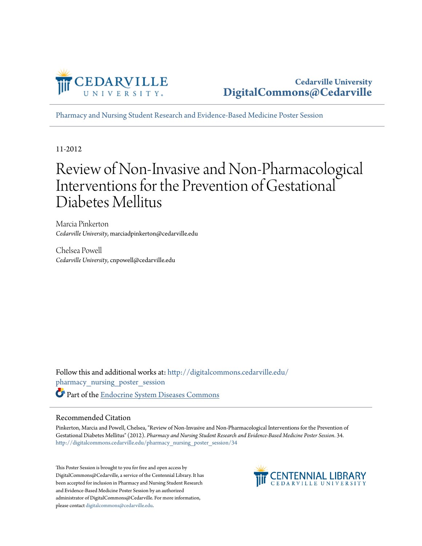

**Cedarville University [DigitalCommons@Cedarville](http://digitalcommons.cedarville.edu?utm_source=digitalcommons.cedarville.edu%2Fpharmacy_nursing_poster_session%2F34&utm_medium=PDF&utm_campaign=PDFCoverPages)**

[Pharmacy and Nursing Student Research and Evidence-Based Medicine Poster Session](http://digitalcommons.cedarville.edu/pharmacy_nursing_poster_session?utm_source=digitalcommons.cedarville.edu%2Fpharmacy_nursing_poster_session%2F34&utm_medium=PDF&utm_campaign=PDFCoverPages)

11-2012

#### Review of Non-Invasive and Non-Pharmacological Interventions for the Prevention of Gestational Diabetes Mellitus

Marcia Pinkerton *Cedarville University*, marciadpinkerton@cedarville.edu

Chelsea Powell *Cedarville University*, cnpowell@cedarville.edu

Follow this and additional works at: [http://digitalcommons.cedarville.edu/](http://digitalcommons.cedarville.edu/pharmacy_nursing_poster_session?utm_source=digitalcommons.cedarville.edu%2Fpharmacy_nursing_poster_session%2F34&utm_medium=PDF&utm_campaign=PDFCoverPages) [pharmacy\\_nursing\\_poster\\_session](http://digitalcommons.cedarville.edu/pharmacy_nursing_poster_session?utm_source=digitalcommons.cedarville.edu%2Fpharmacy_nursing_poster_session%2F34&utm_medium=PDF&utm_campaign=PDFCoverPages) Part of the [Endocrine System Diseases Commons](http://network.bepress.com/hgg/discipline/969?utm_source=digitalcommons.cedarville.edu%2Fpharmacy_nursing_poster_session%2F34&utm_medium=PDF&utm_campaign=PDFCoverPages)

#### Recommended Citation

Pinkerton, Marcia and Powell, Chelsea, "Review of Non-Invasive and Non-Pharmacological Interventions for the Prevention of Gestational Diabetes Mellitus" (2012). *Pharmacy and Nursing Student Research and Evidence-Based Medicine Poster Session*. 34. [http://digitalcommons.cedarville.edu/pharmacy\\_nursing\\_poster\\_session/34](http://digitalcommons.cedarville.edu/pharmacy_nursing_poster_session/34?utm_source=digitalcommons.cedarville.edu%2Fpharmacy_nursing_poster_session%2F34&utm_medium=PDF&utm_campaign=PDFCoverPages)

This Poster Session is brought to you for free and open access by DigitalCommons@Cedarville, a service of the Centennial Library. It has been accepted for inclusion in Pharmacy and Nursing Student Research and Evidence-Based Medicine Poster Session by an authorized administrator of DigitalCommons@Cedarville. For more information, please contact [digitalcommons@cedarville.edu.](mailto:digitalcommons@cedarville.edu)